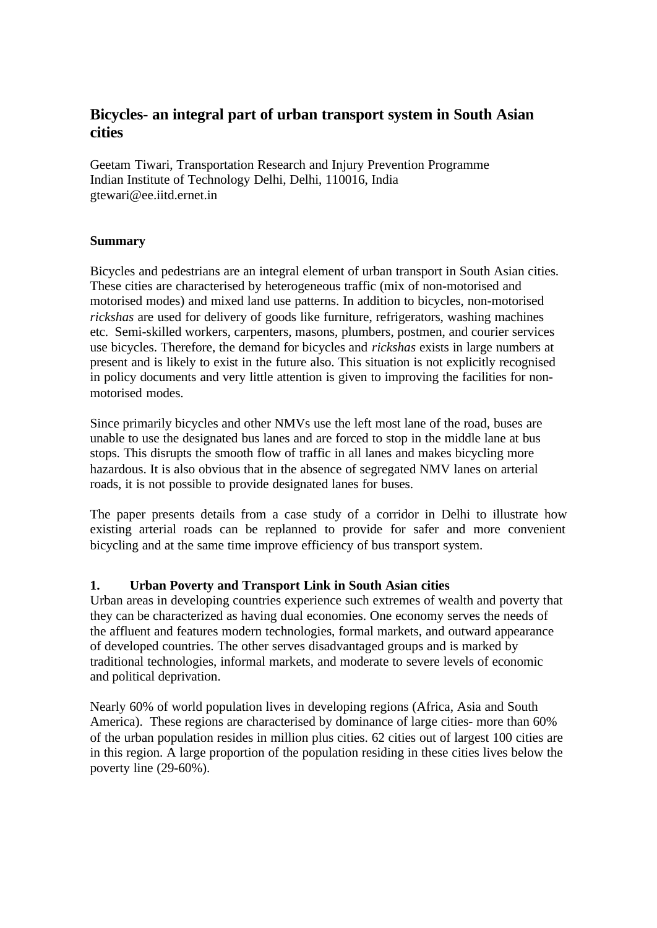# **Bicycles- an integral part of urban transport system in South Asian cities**

Geetam Tiwari, Transportation Research and Injury Prevention Programme Indian Institute of Technology Delhi, Delhi, 110016, India gtewari@ee.iitd.ernet.in

### **Summary**

Bicycles and pedestrians are an integral element of urban transport in South Asian cities. These cities are characterised by heterogeneous traffic (mix of non-motorised and motorised modes) and mixed land use patterns. In addition to bicycles, non-motorised *rickshas* are used for delivery of goods like furniture, refrigerators, washing machines etc. Semi-skilled workers, carpenters, masons, plumbers, postmen, and courier services use bicycles. Therefore, the demand for bicycles and *rickshas* exists in large numbers at present and is likely to exist in the future also. This situation is not explicitly recognised in policy documents and very little attention is given to improving the facilities for nonmotorised modes.

Since primarily bicycles and other NMVs use the left most lane of the road, buses are unable to use the designated bus lanes and are forced to stop in the middle lane at bus stops. This disrupts the smooth flow of traffic in all lanes and makes bicycling more hazardous. It is also obvious that in the absence of segregated NMV lanes on arterial roads, it is not possible to provide designated lanes for buses.

The paper presents details from a case study of a corridor in Delhi to illustrate how existing arterial roads can be replanned to provide for safer and more convenient bicycling and at the same time improve efficiency of bus transport system.

# **1. Urban Poverty and Transport Link in South Asian cities**

Urban areas in developing countries experience such extremes of wealth and poverty that they can be characterized as having dual economies. One economy serves the needs of the affluent and features modern technologies, formal markets, and outward appearance of developed countries. The other serves disadvantaged groups and is marked by traditional technologies, informal markets, and moderate to severe levels of economic and political deprivation.

Nearly 60% of world population lives in developing regions (Africa, Asia and South America). These regions are characterised by dominance of large cities- more than 60% of the urban population resides in million plus cities. 62 cities out of largest 100 cities are in this region. A large proportion of the population residing in these cities lives below the poverty line (29-60%).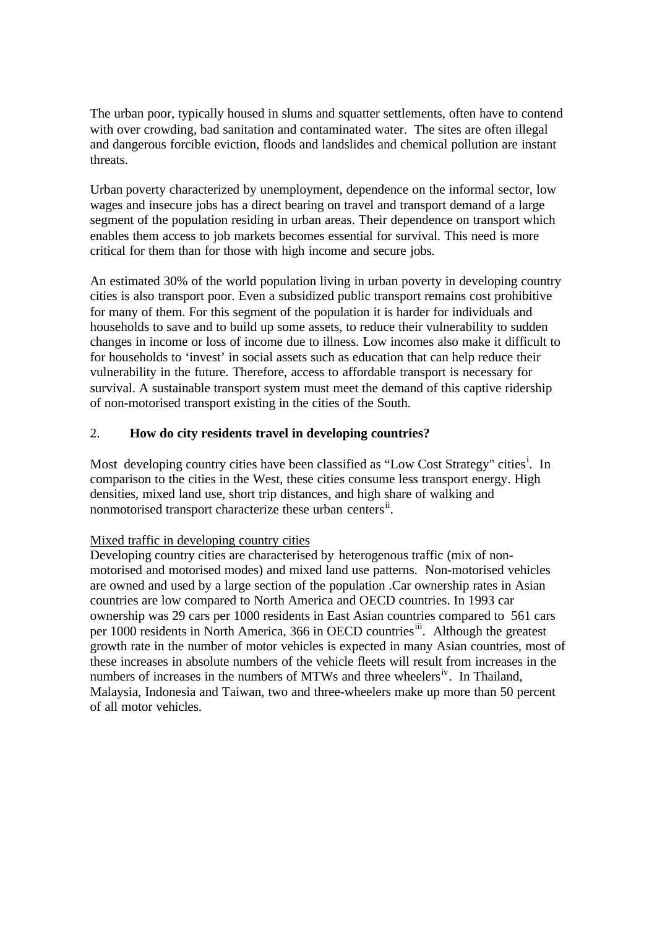The urban poor, typically housed in slums and squatter settlements, often have to contend with over crowding, bad sanitation and contaminated water. The sites are often illegal and dangerous forcible eviction, floods and landslides and chemical pollution are instant threats.

Urban poverty characterized by unemployment, dependence on the informal sector, low wages and insecure jobs has a direct bearing on travel and transport demand of a large segment of the population residing in urban areas. Their dependence on transport which enables them access to job markets becomes essential for survival. This need is more critical for them than for those with high income and secure jobs.

An estimated 30% of the world population living in urban poverty in developing country cities is also transport poor. Even a subsidized public transport remains cost prohibitive for many of them. For this segment of the population it is harder for individuals and households to save and to build up some assets, to reduce their vulnerability to sudden changes in income or loss of income due to illness. Low incomes also make it difficult to for households to 'invest' in social assets such as education that can help reduce their vulnerability in the future. Therefore, access to affordable transport is necessary for survival. A sustainable transport system must meet the demand of this captive ridership of non-motorised transport existing in the cities of the South.

# 2. **How do city residents travel in developing countries?**

Most developing country cities have been classified as "Low Cost Strategy" cities<sup>i</sup>. In comparison to the cities in the West, these cities consume less transport energy. High densities, mixed land use, short trip distances, and high share of walking and nonmotorised transport characterize these urban centers<sup>ii</sup>.

#### Mixed traffic in developing country cities

Developing country cities are characterised by heterogenous traffic (mix of nonmotorised and motorised modes) and mixed land use patterns. Non-motorised vehicles are owned and used by a large section of the population .Car ownership rates in Asian countries are low compared to North America and OECD countries. In 1993 car ownership was 29 cars per 1000 residents in East Asian countries compared to 561 cars per 1000 residents in North America, 366 in OECD countries<sup>iii</sup>. Although the greatest growth rate in the number of motor vehicles is expected in many Asian countries, most of these increases in absolute numbers of the vehicle fleets will result from increases in the numbers of increases in the numbers of MTWs and three wheelers<sup>iv</sup>. In Thailand, Malaysia, Indonesia and Taiwan, two and three-wheelers make up more than 50 percent of all motor vehicles.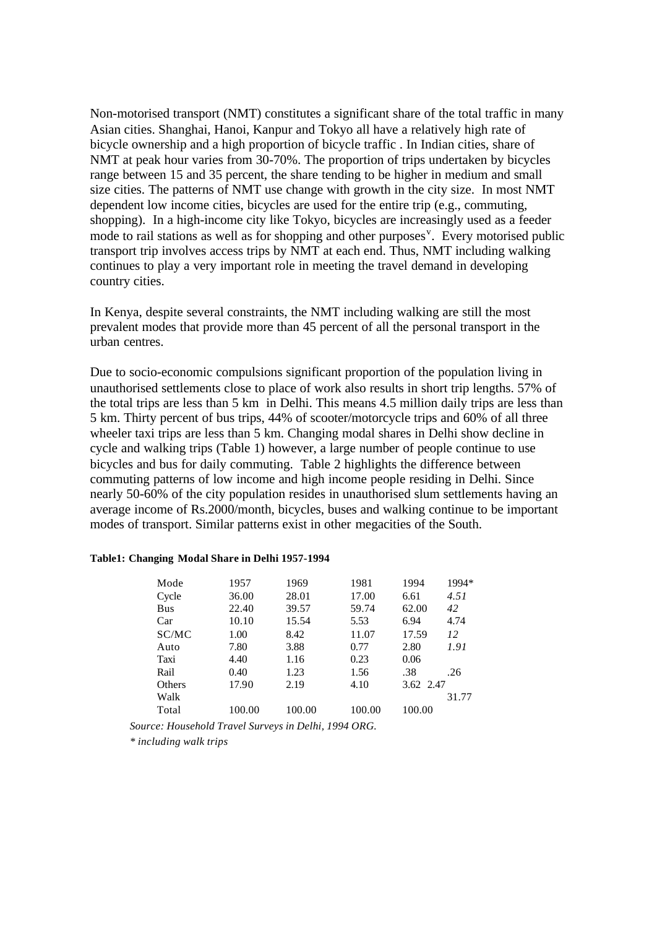Non-motorised transport (NMT) constitutes a significant share of the total traffic in many Asian cities. Shanghai, Hanoi, Kanpur and Tokyo all have a relatively high rate of bicycle ownership and a high proportion of bicycle traffic . In Indian cities, share of NMT at peak hour varies from 30-70%. The proportion of trips undertaken by bicycles range between 15 and 35 percent, the share tending to be higher in medium and small size cities. The patterns of NMT use change with growth in the city size. In most NMT dependent low income cities, bicycles are used for the entire trip (e.g., commuting, shopping). In a high-income city like Tokyo, bicycles are increasingly used as a feeder mode to rail stations as well as for shopping and other purposes<sup>v</sup>. Every motorised public transport trip involves access trips by NMT at each end. Thus, NMT including walking continues to play a very important role in meeting the travel demand in developing country cities.

In Kenya, despite several constraints, the NMT including walking are still the most prevalent modes that provide more than 45 percent of all the personal transport in the urban centres.

Due to socio-economic compulsions significant proportion of the population living in unauthorised settlements close to place of work also results in short trip lengths. 57% of the total trips are less than 5 km in Delhi. This means 4.5 million daily trips are less than 5 km. Thirty percent of bus trips, 44% of scooter/motorcycle trips and 60% of all three wheeler taxi trips are less than 5 km. Changing modal shares in Delhi show decline in cycle and walking trips (Table 1) however, a large number of people continue to use bicycles and bus for daily commuting. Table 2 highlights the difference between commuting patterns of low income and high income people residing in Delhi. Since nearly 50-60% of the city population resides in unauthorised slum settlements having an average income of Rs.2000/month, bicycles, buses and walking continue to be important modes of transport. Similar patterns exist in other megacities of the South.

#### **Table1: Changing Modal Share in Delhi 1957-1994**

| Mode       | 1957   | 1969   | 1981   | 1994      | 1994* |
|------------|--------|--------|--------|-----------|-------|
| Cycle      | 36.00  | 28.01  | 17.00  | 6.61      | 4.51  |
| <b>Bus</b> | 22.40  | 39.57  | 59.74  | 62.00     | 42    |
| Car        | 10.10  | 15.54  | 5.53   | 6.94      | 4.74  |
| SC/MC      | 1.00   | 8.42   | 11.07  | 17.59     | 12    |
| Auto       | 7.80   | 3.88   | 0.77   | 2.80      | 1.91  |
| Taxi       | 4.40   | 1.16   | 0.23   | 0.06      |       |
| Rail       | 0.40   | 1.23   | 1.56   | .38       | .26   |
| Others     | 17.90  | 2.19   | 4.10   | 3.62 2.47 |       |
| Walk       |        |        |        |           | 31.77 |
| Total      | 100.00 | 100.00 | 100.00 | 100.00    |       |

*Source: Household Travel Surveys in Delhi, 1994 ORG.*

*\* including walk trips*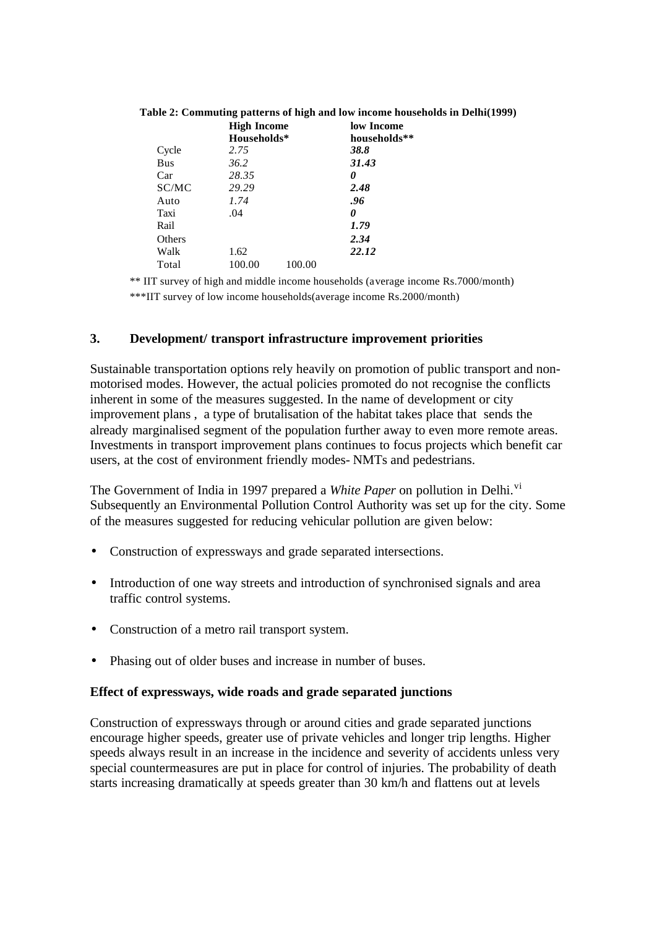|            | <b>High Income</b> |        | low Income   |  |
|------------|--------------------|--------|--------------|--|
|            | Households*        |        | households** |  |
| Cycle      | 2.75               |        | 38.8         |  |
| <b>Bus</b> | 36.2               |        | 31.43        |  |
| Car        | 28.35              |        | 0            |  |
| SC/MC      | 29.29              |        | 2.48         |  |
| Auto       | 1.74               |        | .96          |  |
| Taxi       | .04                |        | 0            |  |
| Rail       |                    |        | 1.79         |  |
| Others     |                    |        | 2.34         |  |
| Walk       | 1.62               |        | 22.12        |  |
| Total      | 100.00             | 100.00 |              |  |

#### **Table 2: Commuting patterns of high and low income households in Delhi(1999)**

\*\* IIT survey of high and middle income households (average income Rs.7000/month)

\*\*\*IIT survey of low income households(average income Rs.2000/month)

#### **3. Development/ transport infrastructure improvement priorities**

Sustainable transportation options rely heavily on promotion of public transport and nonmotorised modes. However, the actual policies promoted do not recognise the conflicts inherent in some of the measures suggested. In the name of development or city improvement plans , a type of brutalisation of the habitat takes place that sends the already marginalised segment of the population further away to even more remote areas. Investments in transport improvement plans continues to focus projects which benefit car users, at the cost of environment friendly modes- NMTs and pedestrians.

The Government of India in 1997 prepared a *White Paper* on pollution in Delhi.<sup>vi</sup> Subsequently an Environmental Pollution Control Authority was set up for the city. Some of the measures suggested for reducing vehicular pollution are given below:

- Construction of expressways and grade separated intersections.
- Introduction of one way streets and introduction of synchronised signals and area traffic control systems.
- Construction of a metro rail transport system.
- Phasing out of older buses and increase in number of buses.

#### **Effect of expressways, wide roads and grade separated junctions**

Construction of expressways through or around cities and grade separated junctions encourage higher speeds, greater use of private vehicles and longer trip lengths. Higher speeds always result in an increase in the incidence and severity of accidents unless very special countermeasures are put in place for control of injuries. The probability of death starts increasing dramatically at speeds greater than 30 km/h and flattens out at levels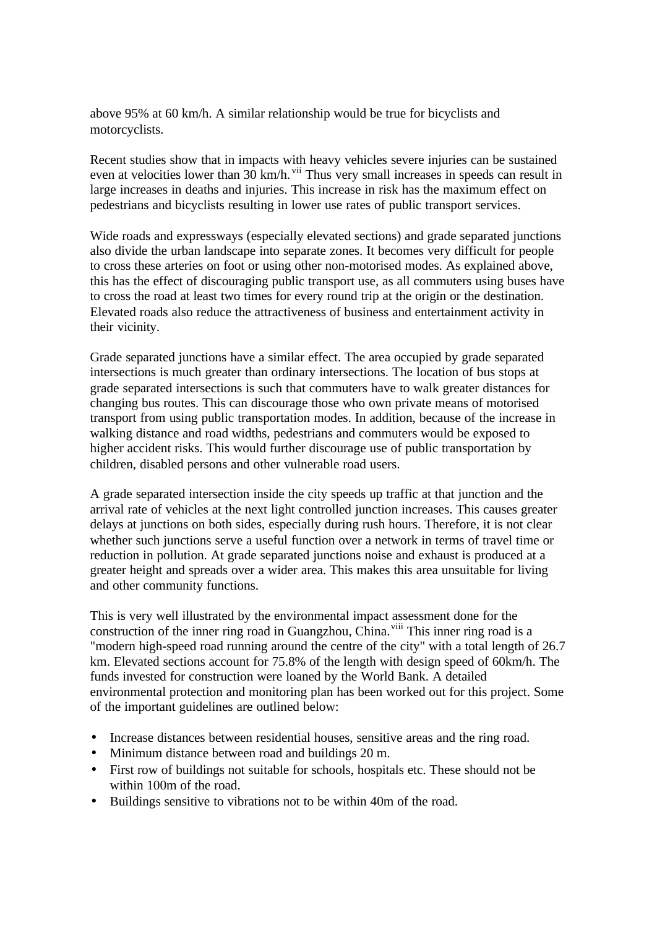above 95% at 60 km/h. A similar relationship would be true for bicyclists and motorcyclists.

Recent studies show that in impacts with heavy vehicles severe injuries can be sustained even at velocities lower than 30 km/h. <sup>vii</sup> Thus very small increases in speeds can result in large increases in deaths and injuries. This increase in risk has the maximum effect on pedestrians and bicyclists resulting in lower use rates of public transport services.

Wide roads and expressways (especially elevated sections) and grade separated junctions also divide the urban landscape into separate zones. It becomes very difficult for people to cross these arteries on foot or using other non-motorised modes. As explained above, this has the effect of discouraging public transport use, as all commuters using buses have to cross the road at least two times for every round trip at the origin or the destination. Elevated roads also reduce the attractiveness of business and entertainment activity in their vicinity.

Grade separated junctions have a similar effect. The area occupied by grade separated intersections is much greater than ordinary intersections. The location of bus stops at grade separated intersections is such that commuters have to walk greater distances for changing bus routes. This can discourage those who own private means of motorised transport from using public transportation modes. In addition, because of the increase in walking distance and road widths, pedestrians and commuters would be exposed to higher accident risks. This would further discourage use of public transportation by children, disabled persons and other vulnerable road users.

A grade separated intersection inside the city speeds up traffic at that junction and the arrival rate of vehicles at the next light controlled junction increases. This causes greater delays at junctions on both sides, especially during rush hours. Therefore, it is not clear whether such junctions serve a useful function over a network in terms of travel time or reduction in pollution. At grade separated junctions noise and exhaust is produced at a greater height and spreads over a wider area. This makes this area unsuitable for living and other community functions.

This is very well illustrated by the environmental impact assessment done for the construction of the inner ring road in Guangzhou, China.<sup>viii</sup> This inner ring road is a "modern high-speed road running around the centre of the city" with a total length of 26.7 km. Elevated sections account for 75.8% of the length with design speed of 60km/h. The funds invested for construction were loaned by the World Bank. A detailed environmental protection and monitoring plan has been worked out for this project. Some of the important guidelines are outlined below:

- Increase distances between residential houses, sensitive areas and the ring road.
- Minimum distance between road and buildings 20 m.
- First row of buildings not suitable for schools, hospitals etc. These should not be within 100m of the road.
- Buildings sensitive to vibrations not to be within 40m of the road.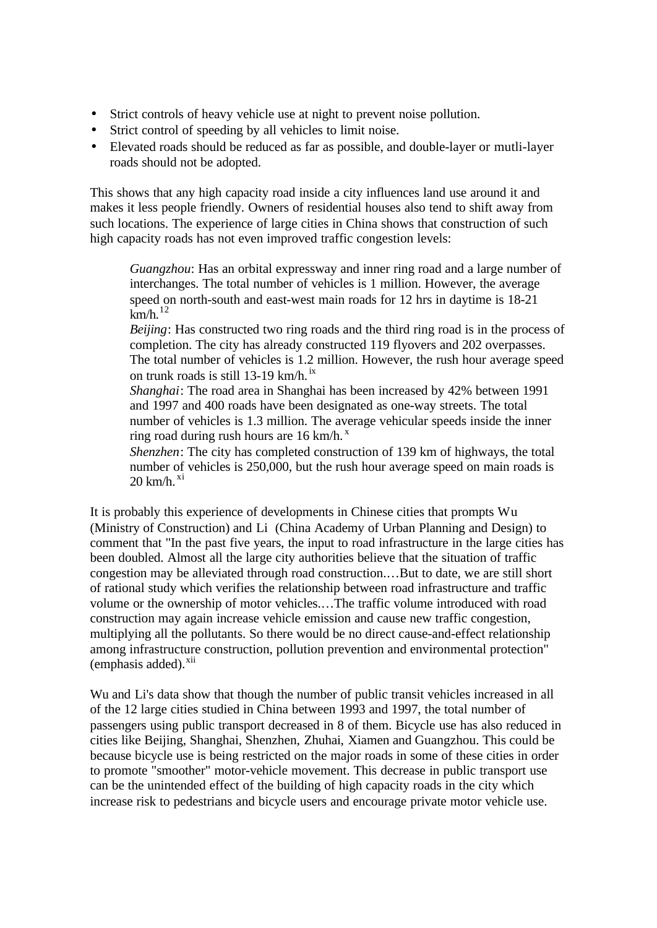- Strict controls of heavy vehicle use at night to prevent noise pollution.
- Strict control of speeding by all vehicles to limit noise.
- Elevated roads should be reduced as far as possible, and double-layer or mutli-layer roads should not be adopted.

This shows that any high capacity road inside a city influences land use around it and makes it less people friendly. Owners of residential houses also tend to shift away from such locations. The experience of large cities in China shows that construction of such high capacity roads has not even improved traffic congestion levels:

*Guangzhou*: Has an orbital expressway and inner ring road and a large number of interchanges. The total number of vehicles is 1 million. However, the average speed on north-south and east-west main roads for 12 hrs in daytime is 18-21  $km/h.<sup>12</sup>$ 

*Beijing*: Has constructed two ring roads and the third ring road is in the process of completion. The city has already constructed 119 flyovers and 202 overpasses. The total number of vehicles is 1.2 million. However, the rush hour average speed on trunk roads is still 13-19 km/h. ix

*Shanghai*: The road area in Shanghai has been increased by 42% between 1991 and 1997 and 400 roads have been designated as one-way streets. The total number of vehicles is 1.3 million. The average vehicular speeds inside the inner ring road during rush hours are  $16 \text{ km/h}$ .

*Shenzhen*: The city has completed construction of 139 km of highways, the total number of vehicles is 250,000, but the rush hour average speed on main roads is 20 km/h. $\mathrm{^{xi}}$ 

It is probably this experience of developments in Chinese cities that prompts Wu (Ministry of Construction) and Li (China Academy of Urban Planning and Design) to comment that "In the past five years, the input to road infrastructure in the large cities has been doubled. Almost all the large city authorities believe that the situation of traffic congestion may be alleviated through road construction.…But to date, we are still short of rational study which verifies the relationship between road infrastructure and traffic volume or the ownership of motor vehicles.…The traffic volume introduced with road construction may again increase vehicle emission and cause new traffic congestion, multiplying all the pollutants. So there would be no direct cause-and-effect relationship among infrastructure construction, pollution prevention and environmental protection"  $(emphasis added).<sup>xii</sup>$ 

Wu and Li's data show that though the number of public transit vehicles increased in all of the 12 large cities studied in China between 1993 and 1997, the total number of passengers using public transport decreased in 8 of them. Bicycle use has also reduced in cities like Beijing, Shanghai, Shenzhen, Zhuhai, Xiamen and Guangzhou. This could be because bicycle use is being restricted on the major roads in some of these cities in order to promote "smoother" motor-vehicle movement. This decrease in public transport use can be the unintended effect of the building of high capacity roads in the city which increase risk to pedestrians and bicycle users and encourage private motor vehicle use.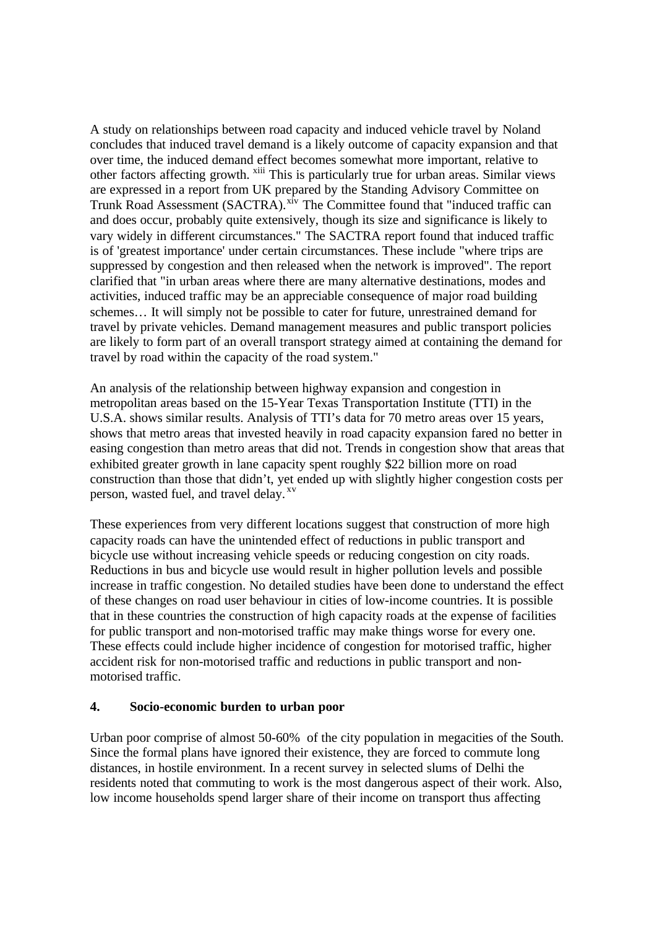A study on relationships between road capacity and induced vehicle travel by Noland concludes that induced travel demand is a likely outcome of capacity expansion and that over time, the induced demand effect becomes somewhat more important, relative to other factors affecting growth. <sup>xiii</sup> This is particularly true for urban areas. Similar views are expressed in a report from UK prepared by the Standing Advisory Committee on Trunk Road Assessment (SACTRA).<sup>xiv</sup> The Committee found that "induced traffic can and does occur, probably quite extensively, though its size and significance is likely to vary widely in different circumstances." The SACTRA report found that induced traffic is of 'greatest importance' under certain circumstances. These include "where trips are suppressed by congestion and then released when the network is improved". The report clarified that "in urban areas where there are many alternative destinations, modes and activities, induced traffic may be an appreciable consequence of major road building schemes… It will simply not be possible to cater for future, unrestrained demand for travel by private vehicles. Demand management measures and public transport policies are likely to form part of an overall transport strategy aimed at containing the demand for travel by road within the capacity of the road system."

An analysis of the relationship between highway expansion and congestion in metropolitan areas based on the 15-Year Texas Transportation Institute (TTI) in the U.S.A. shows similar results. Analysis of TTI's data for 70 metro areas over 15 years, shows that metro areas that invested heavily in road capacity expansion fared no better in easing congestion than metro areas that did not. Trends in congestion show that areas that exhibited greater growth in lane capacity spent roughly \$22 billion more on road construction than those that didn't, yet ended up with slightly higher congestion costs per person, wasted fuel, and travel delay.  $x^v$ 

These experiences from very different locations suggest that construction of more high capacity roads can have the unintended effect of reductions in public transport and bicycle use without increasing vehicle speeds or reducing congestion on city roads. Reductions in bus and bicycle use would result in higher pollution levels and possible increase in traffic congestion. No detailed studies have been done to understand the effect of these changes on road user behaviour in cities of low-income countries. It is possible that in these countries the construction of high capacity roads at the expense of facilities for public transport and non-motorised traffic may make things worse for every one. These effects could include higher incidence of congestion for motorised traffic, higher accident risk for non-motorised traffic and reductions in public transport and nonmotorised traffic.

#### **4. Socio-economic burden to urban poor**

Urban poor comprise of almost 50-60% of the city population in megacities of the South. Since the formal plans have ignored their existence, they are forced to commute long distances, in hostile environment. In a recent survey in selected slums of Delhi the residents noted that commuting to work is the most dangerous aspect of their work. Also, low income households spend larger share of their income on transport thus affecting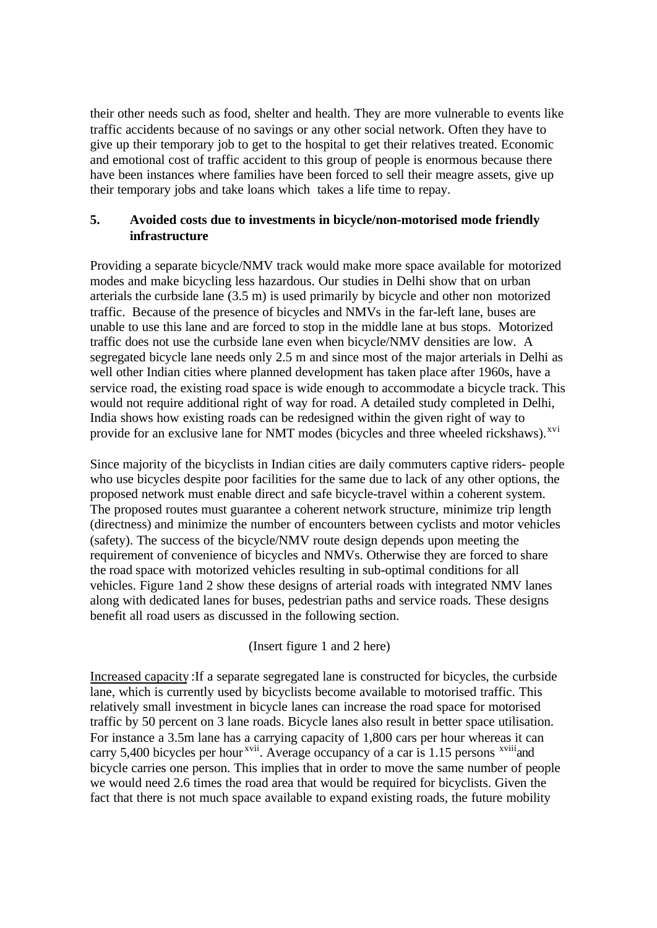their other needs such as food, shelter and health. They are more vulnerable to events like traffic accidents because of no savings or any other social network. Often they have to give up their temporary job to get to the hospital to get their relatives treated. Economic and emotional cost of traffic accident to this group of people is enormous because there have been instances where families have been forced to sell their meagre assets, give up their temporary jobs and take loans which takes a life time to repay.

## **5. Avoided costs due to investments in bicycle/non-motorised mode friendly infrastructure**

Providing a separate bicycle/NMV track would make more space available for motorized modes and make bicycling less hazardous. Our studies in Delhi show that on urban arterials the curbside lane (3.5 m) is used primarily by bicycle and other non motorized traffic. Because of the presence of bicycles and NMVs in the far-left lane, buses are unable to use this lane and are forced to stop in the middle lane at bus stops. Motorized traffic does not use the curbside lane even when bicycle/NMV densities are low. A segregated bicycle lane needs only 2.5 m and since most of the major arterials in Delhi as well other Indian cities where planned development has taken place after 1960s, have a service road, the existing road space is wide enough to accommodate a bicycle track. This would not require additional right of way for road. A detailed study completed in Delhi, India shows how existing roads can be redesigned within the given right of way to provide for an exclusive lane for NMT modes (bicycles and three wheeled rickshaws).<sup>xvi</sup>

Since majority of the bicyclists in Indian cities are daily commuters captive riders- people who use bicycles despite poor facilities for the same due to lack of any other options, the proposed network must enable direct and safe bicycle-travel within a coherent system. The proposed routes must guarantee a coherent network structure, minimize trip length (directness) and minimize the number of encounters between cyclists and motor vehicles (safety). The success of the bicycle/NMV route design depends upon meeting the requirement of convenience of bicycles and NMVs. Otherwise they are forced to share the road space with motorized vehicles resulting in sub-optimal conditions for all vehicles. Figure 1and 2 show these designs of arterial roads with integrated NMV lanes along with dedicated lanes for buses, pedestrian paths and service roads. These designs benefit all road users as discussed in the following section.

(Insert figure 1 and 2 here)

Increased capacity :If a separate segregated lane is constructed for bicycles, the curbside lane, which is currently used by bicyclists become available to motorised traffic. This relatively small investment in bicycle lanes can increase the road space for motorised traffic by 50 percent on 3 lane roads. Bicycle lanes also result in better space utilisation. For instance a 3.5m lane has a carrying capacity of 1,800 cars per hour whereas it can carry 5,400 bicycles per hour<sup>xvii</sup>. Average occupancy of a car is 1.15 persons  $\frac{x}{y}$  and bicycle carries one person. This implies that in order to move the same number of people we would need 2.6 times the road area that would be required for bicyclists. Given the fact that there is not much space available to expand existing roads, the future mobility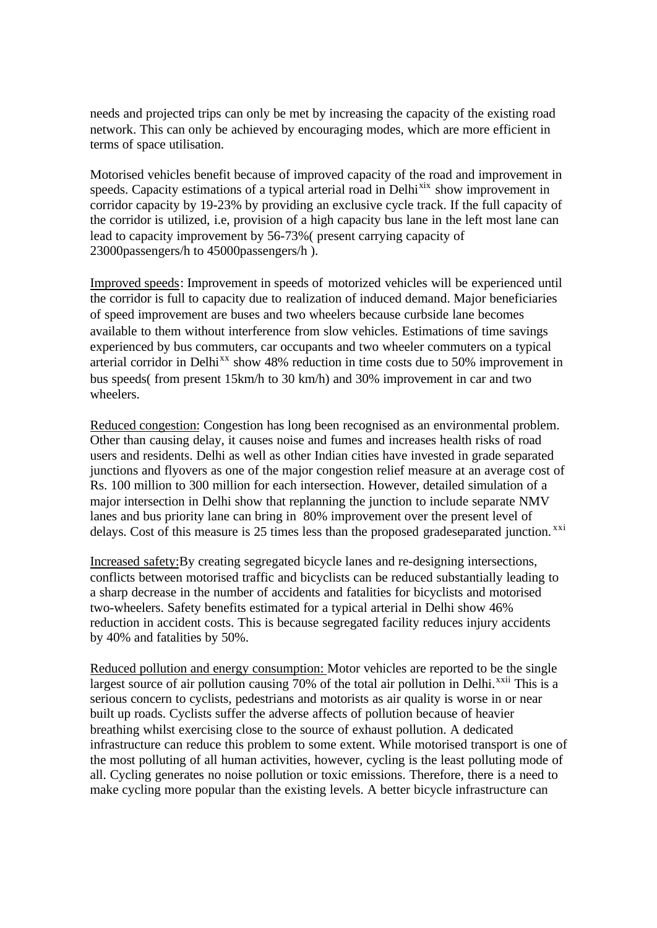needs and projected trips can only be met by increasing the capacity of the existing road network. This can only be achieved by encouraging modes, which are more efficient in terms of space utilisation.

Motorised vehicles benefit because of improved capacity of the road and improvement in speeds. Capacity estimations of a typical arterial road in Delhi<sup>xix</sup> show improvement in corridor capacity by 19-23% by providing an exclusive cycle track. If the full capacity of the corridor is utilized, i.e, provision of a high capacity bus lane in the left most lane can lead to capacity improvement by 56-73%( present carrying capacity of 23000passengers/h to 45000passengers/h ).

Improved speeds: Improvement in speeds of motorized vehicles will be experienced until the corridor is full to capacity due to realization of induced demand. Major beneficiaries of speed improvement are buses and two wheelers because curbside lane becomes available to them without interference from slow vehicles. Estimations of time savings experienced by bus commuters, car occupants and two wheeler commuters on a typical arterial corridor in Delhi<sup>xx</sup> show 48% reduction in time costs due to 50% improvement in bus speeds( from present 15km/h to 30 km/h) and 30% improvement in car and two wheelers.

Reduced congestion: Congestion has long been recognised as an environmental problem. Other than causing delay, it causes noise and fumes and increases health risks of road users and residents. Delhi as well as other Indian cities have invested in grade separated junctions and flyovers as one of the major congestion relief measure at an average cost of Rs. 100 million to 300 million for each intersection. However, detailed simulation of a major intersection in Delhi show that replanning the junction to include separate NMV lanes and bus priority lane can bring in 80% improvement over the present level of delays. Cost of this measure is 25 times less than the proposed gradeseparated junction.<sup>xxi</sup>

Increased safety:By creating segregated bicycle lanes and re-designing intersections, conflicts between motorised traffic and bicyclists can be reduced substantially leading to a sharp decrease in the number of accidents and fatalities for bicyclists and motorised two-wheelers. Safety benefits estimated for a typical arterial in Delhi show 46% reduction in accident costs. This is because segregated facility reduces injury accidents by 40% and fatalities by 50%.

Reduced pollution and energy consumption: Motor vehicles are reported to be the single largest source of air pollution causing  $70\%$  of the total air pollution in Delhi.<sup>xxii</sup> This is a serious concern to cyclists, pedestrians and motorists as air quality is worse in or near built up roads. Cyclists suffer the adverse affects of pollution because of heavier breathing whilst exercising close to the source of exhaust pollution. A dedicated infrastructure can reduce this problem to some extent. While motorised transport is one of the most polluting of all human activities, however, cycling is the least polluting mode of all. Cycling generates no noise pollution or toxic emissions. Therefore, there is a need to make cycling more popular than the existing levels. A better bicycle infrastructure can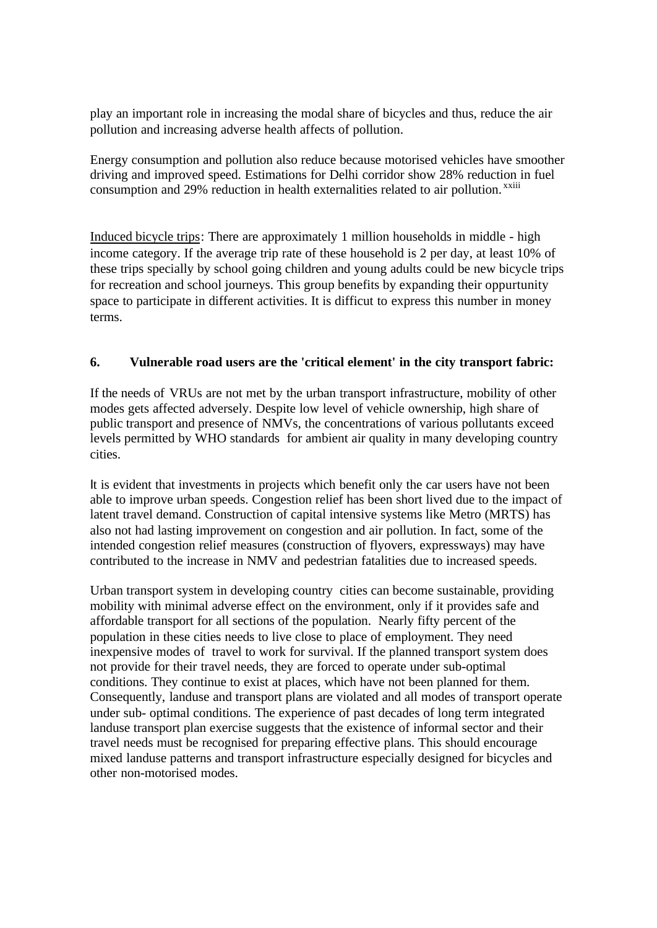play an important role in increasing the modal share of bicycles and thus, reduce the air pollution and increasing adverse health affects of pollution.

Energy consumption and pollution also reduce because motorised vehicles have smoother driving and improved speed. Estimations for Delhi corridor show 28% reduction in fuel consumption and 29% reduction in health externalities related to air pollution.<sup>xxiii</sup>

Induced bicycle trips: There are approximately 1 million households in middle - high income category. If the average trip rate of these household is 2 per day, at least 10% of these trips specially by school going children and young adults could be new bicycle trips for recreation and school journeys. This group benefits by expanding their oppurtunity space to participate in different activities. It is difficut to express this number in money terms.

### **6. Vulnerable road users are the 'critical element' in the city transport fabric:**

If the needs of VRUs are not met by the urban transport infrastructure, mobility of other modes gets affected adversely. Despite low level of vehicle ownership, high share of public transport and presence of NMVs, the concentrations of various pollutants exceed levels permitted by WHO standards for ambient air quality in many developing country cities.

It is evident that investments in projects which benefit only the car users have not been able to improve urban speeds. Congestion relief has been short lived due to the impact of latent travel demand. Construction of capital intensive systems like Metro (MRTS) has also not had lasting improvement on congestion and air pollution. In fact, some of the intended congestion relief measures (construction of flyovers, expressways) may have contributed to the increase in NMV and pedestrian fatalities due to increased speeds.

Urban transport system in developing country cities can become sustainable, providing mobility with minimal adverse effect on the environment, only if it provides safe and affordable transport for all sections of the population. Nearly fifty percent of the population in these cities needs to live close to place of employment. They need inexpensive modes of travel to work for survival. If the planned transport system does not provide for their travel needs, they are forced to operate under sub-optimal conditions. They continue to exist at places, which have not been planned for them. Consequently, landuse and transport plans are violated and all modes of transport operate under sub- optimal conditions. The experience of past decades of long term integrated landuse transport plan exercise suggests that the existence of informal sector and their travel needs must be recognised for preparing effective plans. This should encourage mixed landuse patterns and transport infrastructure especially designed for bicycles and other non-motorised modes.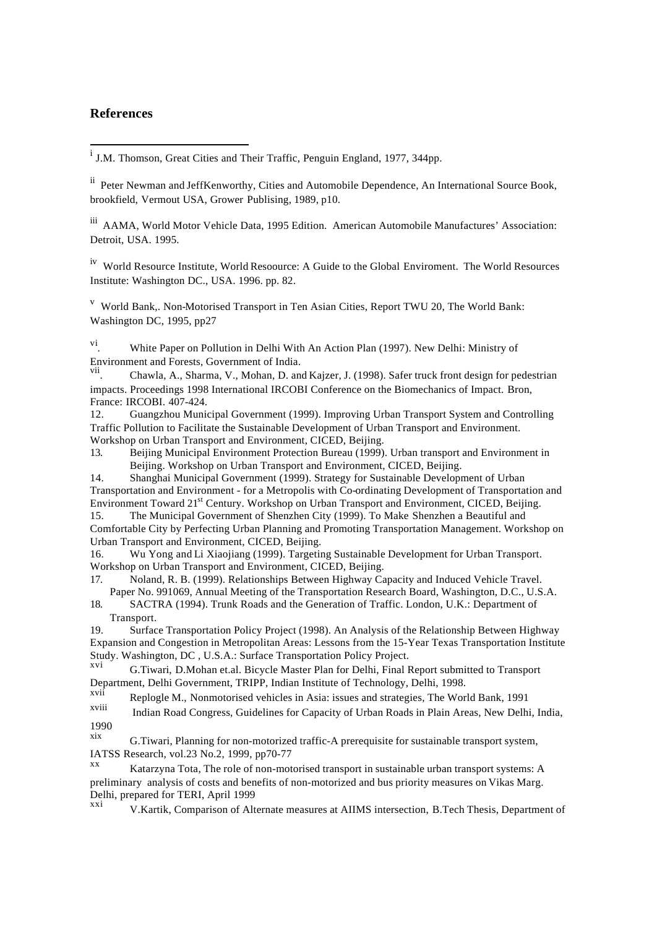#### **References**

l

ii Peter Newman and JeffKenworthy, Cities and Automobile Dependence, An International Source Book, brookfield, Vermout USA, Grower Publising, 1989, p10.

iii AAMA, World Motor Vehicle Data, 1995 Edition. American Automobile Manufactures' Association: Detroit, USA. 1995.

iv World Resource Institute, World Resoource: A Guide to the Global Enviroment. The World Resources Institute: Washington DC., USA. 1996. pp. 82.

v World Bank,. Non-Motorised Transport in Ten Asian Cities, Report TWU 20, The World Bank: Washington DC, 1995, pp27

vi . White Paper on Pollution in Delhi With An Action Plan (1997). New Delhi: Ministry of Environment and Forests, Government of India.

vii . Chawla, A., Sharma, V., Mohan, D. and Kajzer, J. (1998). Safer truck front design for pedestrian impacts. Proceedings 1998 International IRCOBI Conference on the Biomechanics of Impact. Bron, France: IRCOBI. 407-424.

12. Guangzhou Municipal Government (1999). Improving Urban Transport System and Controlling Traffic Pollution to Facilitate the Sustainable Development of Urban Transport and Environment. Workshop on Urban Transport and Environment, CICED, Beijing.

13. Beijing Municipal Environment Protection Bureau (1999). Urban transport and Environment in Beijing. Workshop on Urban Transport and Environment, CICED, Beijing.

14. Shanghai Municipal Government (1999). Strategy for Sustainable Development of Urban Transportation and Environment - for a Metropolis with Co-ordinating Development of Transportation and Environment Toward 21st Century. Workshop on Urban Transport and Environment, CICED, Beijing. 15. The Municipal Government of Shenzhen City (1999). To Make Shenzhen a Beautiful and

Comfortable City by Perfecting Urban Planning and Promoting Transportation Management. Workshop on Urban Transport and Environment, CICED, Beijing.

16. Wu Yong and Li Xiaojiang (1999). Targeting Sustainable Development for Urban Transport. Workshop on Urban Transport and Environment, CICED, Beijing.

17. Noland, R. B. (1999). Relationships Between Highway Capacity and Induced Vehicle Travel. Paper No. 991069, Annual Meeting of the Transportation Research Board, Washington, D.C., U.S.A.

18. SACTRA (1994). Trunk Roads and the Generation of Traffic. London, U.K.: Department of Transport.

19. Surface Transportation Policy Project (1998). An Analysis of the Relationship Between Highway Expansion and Congestion in Metropolitan Areas: Lessons from the 15-Year Texas Transportation Institute Study. Washington, DC , U.S.A.: Surface Transportation Policy Project.

G.Tiwari, D.Mohan et.al. Bicycle Master Plan for Delhi, Final Report submitted to Transport Department, Delhi Government, TRIPP, Indian Institute of Technology, Delhi, 1998.

xvii Replogle M., Nonmotorised vehicles in Asia: issues and strategies, The World Bank, 1991

Indian Road Congress, Guidelines for Capacity of Urban Roads in Plain Areas, New Delhi, India,  $\frac{1990}{xix}$ 

G.Tiwari, Planning for non-motorized traffic-A prerequisite for sustainable transport system, IATSS Research, vol.23 No.2, 1999, pp70-77

Katarzyna Tota, The role of non-motorised transport in sustainable urban transport systems: A preliminary analysis of costs and benefits of non-motorized and bus priority measures on Vikas Marg. Delhi, prepared for TERI, April 1999

V.Kartik, Comparison of Alternate measures at AIIMS intersection, B.Tech Thesis, Department of

<sup>&</sup>lt;sup>i</sup> J.M. Thomson, Great Cities and Their Traffic, Penguin England, 1977, 344pp.